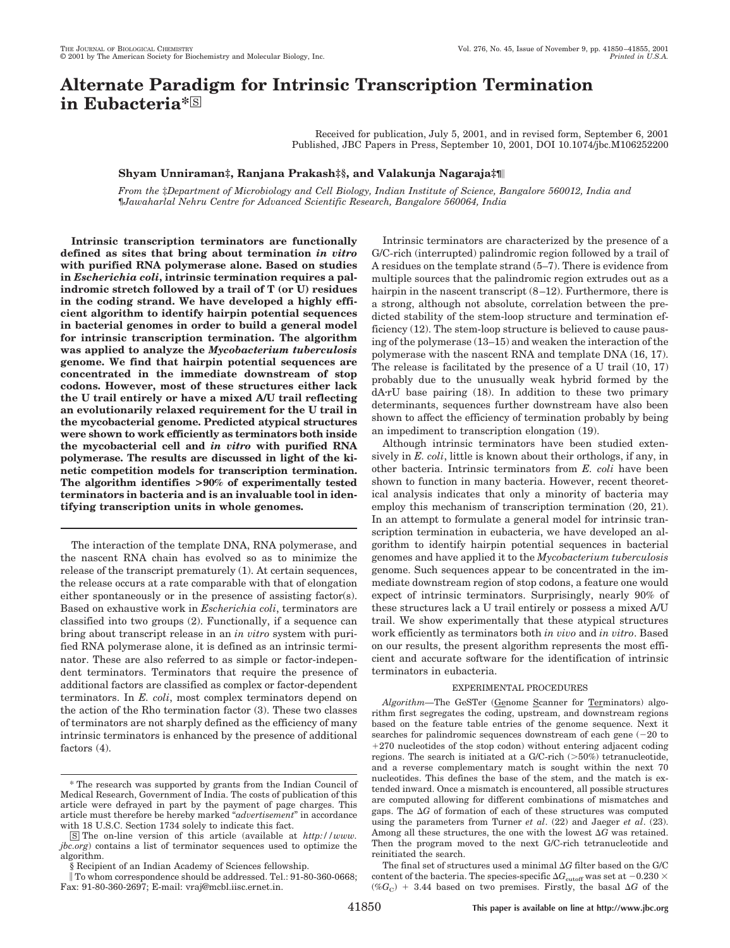# **Alternate Paradigm for Intrinsic Transcription Termination** in Eubacteria<sup>\*</sup><sup>S</sup>

Received for publication, July 5, 2001, and in revised form, September 6, 2001 Published, JBC Papers in Press, September 10, 2001, DOI 10.1074/jbc.M106252200

## **Shyam Unniraman‡, Ranjana Prakash‡§, and Valakunja Nagaraja‡¶**

*From the* ‡*Department of Microbiology and Cell Biology, Indian Institute of Science, Bangalore 560012, India and* ¶*Jawaharlal Nehru Centre for Advanced Scientific Research, Bangalore 560064, India*

**Intrinsic transcription terminators are functionally defined as sites that bring about termination** *in vitro* **with purified RNA polymerase alone. Based on studies in** *Escherichia coli***, intrinsic termination requires a palindromic stretch followed by a trail of T (or U) residues in the coding strand. We have developed a highly efficient algorithm to identify hairpin potential sequences in bacterial genomes in order to build a general model for intrinsic transcription termination. The algorithm was applied to analyze the** *Mycobacterium tuberculosis* **genome. We find that hairpin potential sequences are concentrated in the immediate downstream of stop codons. However, most of these structures either lack the U trail entirely or have a mixed A/U trail reflecting an evolutionarily relaxed requirement for the U trail in the mycobacterial genome. Predicted atypical structures were shown to work efficiently as terminators both inside the mycobacterial cell and** *in vitro* **with purified RNA polymerase. The results are discussed in light of the kinetic competition models for transcription termination. The algorithm identifies >90% of experimentally tested terminators in bacteria and is an invaluable tool in identifying transcription units in whole genomes.**

The interaction of the template DNA, RNA polymerase, and the nascent RNA chain has evolved so as to minimize the release of the transcript prematurely (1). At certain sequences, the release occurs at a rate comparable with that of elongation either spontaneously or in the presence of assisting factor(s). Based on exhaustive work in *Escherichia coli*, terminators are classified into two groups (2). Functionally, if a sequence can bring about transcript release in an *in vitro* system with purified RNA polymerase alone, it is defined as an intrinsic terminator. These are also referred to as simple or factor-independent terminators. Terminators that require the presence of additional factors are classified as complex or factor-dependent terminators. In *E. coli*, most complex terminators depend on the action of the Rho termination factor (3). These two classes of terminators are not sharply defined as the efficiency of many intrinsic terminators is enhanced by the presence of additional factors (4).

Intrinsic terminators are characterized by the presence of a G/C-rich (interrupted) palindromic region followed by a trail of A residues on the template strand (5–7). There is evidence from multiple sources that the palindromic region extrudes out as a hairpin in the nascent transcript (8–12). Furthermore, there is a strong, although not absolute, correlation between the predicted stability of the stem-loop structure and termination efficiency (12). The stem-loop structure is believed to cause pausing of the polymerase (13–15) and weaken the interaction of the polymerase with the nascent RNA and template DNA (16, 17). The release is facilitated by the presence of a U trail (10, 17) probably due to the unusually weak hybrid formed by the dA-rU base pairing (18). In addition to these two primary determinants, sequences further downstream have also been shown to affect the efficiency of termination probably by being an impediment to transcription elongation (19).

Although intrinsic terminators have been studied extensively in *E. coli*, little is known about their orthologs, if any, in other bacteria. Intrinsic terminators from *E. coli* have been shown to function in many bacteria. However, recent theoretical analysis indicates that only a minority of bacteria may employ this mechanism of transcription termination (20, 21). In an attempt to formulate a general model for intrinsic transcription termination in eubacteria, we have developed an algorithm to identify hairpin potential sequences in bacterial genomes and have applied it to the *Mycobacterium tuberculosis* genome. Such sequences appear to be concentrated in the immediate downstream region of stop codons, a feature one would expect of intrinsic terminators. Surprisingly, nearly 90% of these structures lack a U trail entirely or possess a mixed A/U trail. We show experimentally that these atypical structures work efficiently as terminators both *in vivo* and *in vitro*. Based on our results, the present algorithm represents the most efficient and accurate software for the identification of intrinsic terminators in eubacteria.

## EXPERIMENTAL PROCEDURES

*Algorithm—*The GeSTer (Genome Scanner for Terminators) algorithm first segregates the coding, upstream, and downstream regions based on the feature table entries of the genome sequence. Next it searches for palindromic sequences downstream of each gene  $(-20$  to -270 nucleotides of the stop codon) without entering adjacent coding regions. The search is initiated at a  $G/C$ -rich  $(>50%)$  tetranucleotide, and a reverse complementary match is sought within the next 70 nucleotides. This defines the base of the stem, and the match is extended inward. Once a mismatch is encountered, all possible structures are computed allowing for different combinations of mismatches and gaps. The  $\Delta G$  of formation of each of these structures was computed using the parameters from Turner *et al*. (22) and Jaeger *et al*. (23). Among all these structures, the one with the lowest  $\Delta G$  was retained. Then the program moved to the next G/C-rich tetranucleotide and reinitiated the search.

The final set of structures used a minimal  $\Delta G$  filter based on the G/C content of the bacteria. The species-specific  $\Delta G_{\text{cutoff}}$  was set at  $-0.230 \times$  $(\%G_{\rm C})$  + 3.44 based on two premises. Firstly, the basal  $\Delta G$  of the

<sup>\*</sup> The research was supported by grants from the Indian Council of Medical Research, Government of India. The costs of publication of this article were defrayed in part by the payment of page charges. This article must therefore be hereby marked "*advertisement*" in accordance with 18 U.S.C. Section 1734 solely to indicate this fact.

<sup>□</sup>S The on-line version of this article (available at *http://www. jbc.org*) contains a list of terminator sequences used to optimize the algorithm.

<sup>§</sup> Recipient of an Indian Academy of Sciences fellowship.

To whom correspondence should be addressed. Tel.: 91-80-360-0668; Fax: 91-80-360-2697; E-mail: vraj@mcbl.iisc.ernet.in.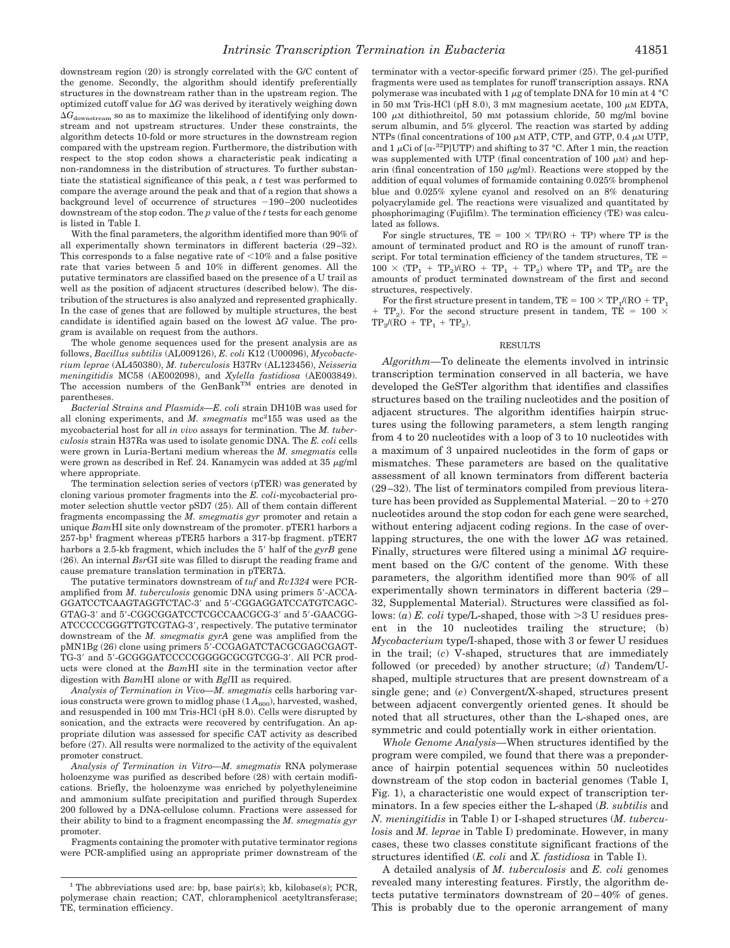downstream region (20) is strongly correlated with the G/C content of the genome. Secondly, the algorithm should identify preferentially structures in the downstream rather than in the upstream region. The optimized cutoff value for  $\Delta G$  was derived by iteratively weighing down  $\Delta G_{\rm downstream}$  so as to maximize the likelihood of identifying only downstream and not upstream structures. Under these constraints, the algorithm detects 10-fold or more structures in the downstream region compared with the upstream region. Furthermore, the distribution with respect to the stop codon shows a characteristic peak indicating a non-randomness in the distribution of structures. To further substantiate the statistical significance of this peak, a *t* test was performed to compare the average around the peak and that of a region that shows a background level of occurrence of structures  $-190-200$  nucleotides downstream of the stop codon. The *p* value of the *t* tests for each genome is listed in Table I.

With the final parameters, the algorithm identified more than 90% of all experimentally shown terminators in different bacteria (29–32). This corresponds to a false negative rate of  $<$ 10% and a false positive rate that varies between 5 and 10% in different genomes. All the putative terminators are classified based on the presence of a U trail as well as the position of adjacent structures (described below). The distribution of the structures is also analyzed and represented graphically. In the case of genes that are followed by multiple structures, the best candidate is identified again based on the lowest  $\Delta G$  value. The program is available on request from the authors.

The whole genome sequences used for the present analysis are as follows, *Bacillus subtilis* (AL009126), *E. coli* K12 (U00096), *Mycobacterium leprae* (AL450380), *M. tuberculosis* H37Rv (AL123456), *Neisseria meningitidis* MC58 (AE002098), and *Xylella fastidiosa* (AE003849). The accession numbers of the GenBank<sup>TM</sup> entries are denoted in parentheses.

*Bacterial Strains and Plasmids—E. coli* strain DH10B was used for all cloning experiments, and *M. smegmatis* mc<sup>2</sup>155 was used as the mycobacterial host for all *in vivo* assays for termination. The *M. tuberculosis* strain H37Ra was used to isolate genomic DNA. The *E. coli* cells were grown in Luria-Bertani medium whereas the *M. smegmatis* cells were grown as described in Ref. 24. Kanamycin was added at  $35 \mu g/ml$ where appropriate.

The termination selection series of vectors (pTER) was generated by cloning various promoter fragments into the *E. coli*-mycobacterial promoter selection shuttle vector pSD7 (25). All of them contain different fragments encompassing the *M. smegmatis gyr* promoter and retain a unique *Bam*HI site only downstream of the promoter. pTER1 harbors a  $257\mbox{-}bp^{\mbox{-}}$  fragment whereas pTER5 harbors a<br>  $317\mbox{-}bp$  fragment. pTER7 harbors a 2.5-kb fragment, which includes the 5' half of the *gyrB* gene (26). An internal *Bsr*GI site was filled to disrupt the reading frame and cause premature translation termination in  $pTER7\Delta$ .

The putative terminators downstream of *tuf* and *Rv1324* were PCRamplified from *M. tuberculosis* genomic DNA using primers 5-ACCA-GGATCCTCAAGTAGGTCTAC-3 and 5-CGGAGGATCCATGTCAGC-GTAG-3 and 5-CGGCGGATCCTCGCCAACGCG-3 and 5-GAACGG-ATCCCCCGGGTTGTCGTAG-3, respectively. The putative terminator downstream of the *M. smegmatis gyrA* gene was amplified from the pMN1Bg (26) clone using primers 5-CCGAGATCTACGCGAGCGAGT-TG-3' and 5'-GCGGGATCCCCCGGGGCGCGTCGG-3'. All PCR products were cloned at the *Bam*HI site in the termination vector after digestion with *Bam*HI alone or with *Bgl*II as required.

*Analysis of Termination in Vivo—M. smegmatis* cells harboring various constructs were grown to midlog phase  $(1 A_{600})$ , harvested, washed, and resuspended in 100 mM Tris-HCl (pH 8.0). Cells were disrupted by sonication, and the extracts were recovered by centrifugation. An appropriate dilution was assessed for specific CAT activity as described before (27). All results were normalized to the activity of the equivalent promoter construct.

*Analysis of Termination in Vitro—M. smegmatis* RNA polymerase holoenzyme was purified as described before (28) with certain modifications. Briefly, the holoenzyme was enriched by polyethyleneimine and ammonium sulfate precipitation and purified through Superdex 200 followed by a DNA-cellulose column. Fractions were assessed for their ability to bind to a fragment encompassing the *M. smegmatis gyr* promoter.

Fragments containing the promoter with putative terminator regions were PCR-amplified using an appropriate primer downstream of the terminator with a vector-specific forward primer (25). The gel-purified fragments were used as templates for runoff transcription assays. RNA polymerase was incubated with 1  $\mu$ g of template DNA for 10 min at 4 °C in 50 mM Tris-HCl (pH 8.0), 3 mM magnesium acetate, 100  $\mu$ M EDTA, 100  $\mu$ M dithiothreitol, 50 mM potassium chloride, 50 mg/ml bovine serum albumin, and 5% glycerol. The reaction was started by adding NTPs (final concentrations of 100  $\mu$ M ATP, CTP, and GTP, 0.4  $\mu$ M UTP, and  $1 \mu$ Ci of [ $\alpha$ -<sup>32</sup>P]UTP) and shifting to 37 °C. After 1 min, the reaction was supplemented with UTP (final concentration of 100  $\mu$ M) and heparin (final concentration of 150  $\mu$ g/ml). Reactions were stopped by the addition of equal volumes of formamide containing 0.025% bromphenol blue and 0.025% xylene cyanol and resolved on an 8% denaturing polyacrylamide gel. The reactions were visualized and quantitated by phosphorimaging (Fujifilm). The termination efficiency (TE) was calculated as follows.

For single structures,  $TE = 100 \times TP/(RO + TP)$  where TP is the amount of terminated product and RO is the amount of runoff transcript. For total termination efficiency of the tandem structures, TE =  $100 \times (TP_1 + TP_2)/(RO + TP_1 + TP_2)$  where  $TP_1$  and  $TP_2$  are the amounts of product terminated downstream of the first and second structures, respectively.

For the first structure present in tandem,  $TE = 100 \times TP_1/(RO + TP_1)$  $+$  TP<sub>2</sub>). For the second structure present in tandem, TE = 100  $\times$  $TP_2/(RO + TP_1 + TP_2).$ 

### RESULTS

*Algorithm—*To delineate the elements involved in intrinsic transcription termination conserved in all bacteria, we have developed the GeSTer algorithm that identifies and classifies structures based on the trailing nucleotides and the position of adjacent structures. The algorithm identifies hairpin structures using the following parameters, a stem length ranging from 4 to 20 nucleotides with a loop of 3 to 10 nucleotides with a maximum of 3 unpaired nucleotides in the form of gaps or mismatches. These parameters are based on the qualitative assessment of all known terminators from different bacteria (29–32). The list of terminators compiled from previous literature has been provided as Supplemental Material. –20 to +270 nucleotides around the stop codon for each gene were searched, without entering adjacent coding regions. In the case of overlapping structures, the one with the lower  $\Delta G$  was retained. Finally, structures were filtered using a minimal  $\Delta G$  requirement based on the G/C content of the genome. With these parameters, the algorithm identified more than 90% of all experimentally shown terminators in different bacteria (29– 32, Supplemental Material). Structures were classified as follows:  $(a)$  *E. coli* type/L-shaped, those with  $>3$  U residues present in the 10 nucleotides trailing the structure; (b) *Mycobacterium* type/I-shaped, those with 3 or fewer U residues in the trail; (*c*) V-shaped, structures that are immediately followed (or preceded) by another structure; (*d*) Tandem/Ushaped, multiple structures that are present downstream of a single gene; and (*e*) Convergent/X-shaped, structures present between adjacent convergently oriented genes. It should be noted that all structures, other than the L-shaped ones, are symmetric and could potentially work in either orientation.

*Whole Genome Analysis—*When structures identified by the program were compiled, we found that there was a preponderance of hairpin potential sequences within 50 nucleotides downstream of the stop codon in bacterial genomes (Table I, Fig. 1), a characteristic one would expect of transcription terminators. In a few species either the L-shaped (*B. subtilis* and *N. meningitidis* in Table I) or I-shaped structures (*M. tuberculosis* and *M. leprae* in Table I) predominate. However, in many cases, these two classes constitute significant fractions of the structures identified (*E. coli* and *X. fastidiosa* in Table I).

A detailed analysis of *M. tuberculosis* and *E. coli* genomes revealed many interesting features. Firstly, the algorithm detects putative terminators downstream of 20–40% of genes. This is probably due to the operonic arrangement of many

<sup>&</sup>lt;sup>1</sup> The abbreviations used are: bp, base pair(s); kb, kilobase(s); PCR, polymerase chain reaction; CAT, chloramphenicol acetyltransferase; TE, termination efficiency.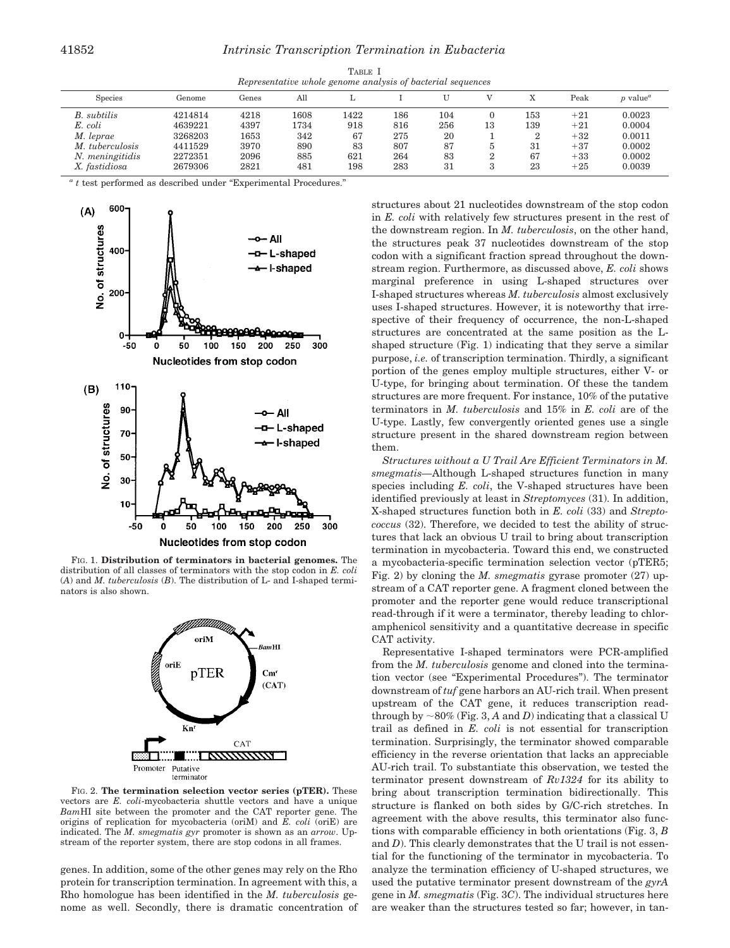| TABLE I                                                     |  |  |  |  |  |
|-------------------------------------------------------------|--|--|--|--|--|
| Representative whole genome analysis of bacterial sequences |  |  |  |  |  |

| <b>Species</b>  | Genome  | Genes | All  |      |     |         |    |     | Peak  | $p$ value <sup><math>a</math></sup> |
|-----------------|---------|-------|------|------|-----|---------|----|-----|-------|-------------------------------------|
| B. subtilis     | 4214814 | 4218  | 1608 | 1422 | 186 | $104\,$ |    | 153 | $+21$ | 0.0023                              |
| E. coli         | 4639221 | 4397  | '734 | 918  | 816 | 256     | 13 | 139 | $+21$ | 0.0004                              |
| M. leprae       | 3268203 | 1653  | 342  | 67   | 275 | 20      |    | 2   | $+32$ | 0.0011                              |
| M. tuberculosis | 4411529 | 3970  | 890  | 83   | 807 | 87      |    | 31  | $+37$ | 0.0002                              |
| N. meningitidis | 2272351 | 2096  | 885  | 621  | 264 | 83      |    | 67  | $+33$ | 0.0002                              |
| X. fastidiosa   | 2679306 | 2821  | 481  | 198  | 283 | 31      |    | 23  | $+25$ | 0.0039                              |

*<sup>a</sup> t* test performed as described under "Experimental Procedures."



FIG. 1. **Distribution of terminators in bacterial genomes.** The distribution of all classes of terminators with the stop codon in *E. coli* (*A*) and *M. tuberculosis* (*B*). The distribution of L- and I-shaped terminators is also shown.



FIG. 2. **The termination selection vector series (pTER).** These vectors are *E. coli*-mycobacteria shuttle vectors and have a unique *Bam*HI site between the promoter and the CAT reporter gene. The origins of replication for mycobacteria (oriM) and *E. coli* (oriE) are indicated. The *M. smegmatis gyr* promoter is shown as an *arrow*. Upstream of the reporter system, there are stop codons in all frames.

genes. In addition, some of the other genes may rely on the Rho protein for transcription termination. In agreement with this, a Rho homologue has been identified in the *M. tuberculosis* genome as well. Secondly, there is dramatic concentration of structures about 21 nucleotides downstream of the stop codon in *E. coli* with relatively few structures present in the rest of the downstream region. In *M. tuberculosis*, on the other hand, the structures peak 37 nucleotides downstream of the stop codon with a significant fraction spread throughout the downstream region. Furthermore, as discussed above, *E. coli* shows marginal preference in using L-shaped structures over I-shaped structures whereas *M. tuberculosis* almost exclusively uses I-shaped structures. However, it is noteworthy that irrespective of their frequency of occurrence, the non-L-shaped structures are concentrated at the same position as the Lshaped structure (Fig. 1) indicating that they serve a similar purpose, *i.e.* of transcription termination. Thirdly, a significant portion of the genes employ multiple structures, either V- or U-type, for bringing about termination. Of these the tandem structures are more frequent. For instance, 10% of the putative terminators in *M. tuberculosis* and 15% in *E. coli* are of the U-type. Lastly, few convergently oriented genes use a single structure present in the shared downstream region between them.

*Structures without a U Trail Are Efficient Terminators in M. smegmatis—*Although L-shaped structures function in many species including *E. coli*, the V-shaped structures have been identified previously at least in *Streptomyces* (31). In addition, X-shaped structures function both in *E. coli* (33) and *Streptococcus* (32). Therefore, we decided to test the ability of structures that lack an obvious U trail to bring about transcription termination in mycobacteria. Toward this end, we constructed a mycobacteria-specific termination selection vector (pTER5; Fig. 2) by cloning the *M. smegmatis* gyrase promoter (27) upstream of a CAT reporter gene. A fragment cloned between the promoter and the reporter gene would reduce transcriptional read-through if it were a terminator, thereby leading to chloramphenicol sensitivity and a quantitative decrease in specific CAT activity.

Representative I-shaped terminators were PCR-amplified from the *M. tuberculosis* genome and cloned into the termination vector (see "Experimental Procedures"). The terminator downstream of *tuf* gene harbors an AU-rich trail. When present upstream of the CAT gene, it reduces transcription readthrough by  $\sim$  80% (Fig. 3, *A* and *D*) indicating that a classical U trail as defined in *E. coli* is not essential for transcription termination. Surprisingly, the terminator showed comparable efficiency in the reverse orientation that lacks an appreciable AU-rich trail. To substantiate this observation, we tested the terminator present downstream of *Rv1324* for its ability to bring about transcription termination bidirectionally. This structure is flanked on both sides by G/C-rich stretches. In agreement with the above results, this terminator also functions with comparable efficiency in both orientations (Fig. 3, *B* and *D*). This clearly demonstrates that the U trail is not essential for the functioning of the terminator in mycobacteria. To analyze the termination efficiency of U-shaped structures, we used the putative terminator present downstream of the *gyrA* gene in *M. smegmatis* (Fig. 3*C*). The individual structures here are weaker than the structures tested so far; however, in tan-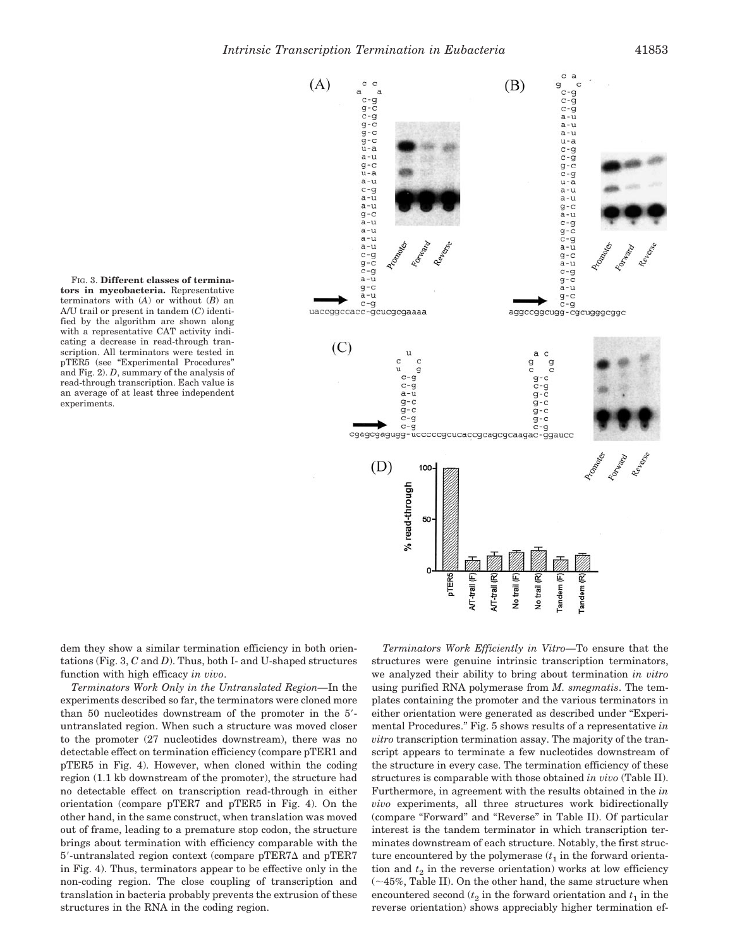**tors in mycobacteria.** Representative terminators with (*A*) or without (*B*) an A/U trail or present in tandem (*C*) identified by the algorithm are shown along with a representative CAT activity indicating a decrease in read-through transcription. All terminators were tested in pTER5 (see "Experimental Procedures" and Fig. 2). *D*, summary of the analysis of read-through transcription. Each value is an average of at least three independent experiments.

FIG. 3. **Different classes of termina-**



dem they show a similar termination efficiency in both orientations (Fig. 3, *C* and *D*). Thus, both I- and U-shaped structures function with high efficacy *in vivo*.

*Terminators Work Only in the Untranslated Region—*In the experiments described so far, the terminators were cloned more than 50 nucleotides downstream of the promoter in the 5 untranslated region. When such a structure was moved closer to the promoter (27 nucleotides downstream), there was no detectable effect on termination efficiency (compare pTER1 and pTER5 in Fig. 4). However, when cloned within the coding region (1.1 kb downstream of the promoter), the structure had no detectable effect on transcription read-through in either orientation (compare pTER7 and pTER5 in Fig. 4). On the other hand, in the same construct, when translation was moved out of frame, leading to a premature stop codon, the structure brings about termination with efficiency comparable with the  $5'$ -untranslated region context (compare pTER7 $\Delta$  and pTER7 in Fig. 4). Thus, terminators appear to be effective only in the non-coding region. The close coupling of transcription and translation in bacteria probably prevents the extrusion of these structures in the RNA in the coding region.

*Terminators Work Efficiently in Vitro—*To ensure that the structures were genuine intrinsic transcription terminators, we analyzed their ability to bring about termination *in vitro* using purified RNA polymerase from *M. smegmatis*. The templates containing the promoter and the various terminators in either orientation were generated as described under "Experimental Procedures." Fig. 5 shows results of a representative *in vitro* transcription termination assay. The majority of the transcript appears to terminate a few nucleotides downstream of the structure in every case. The termination efficiency of these structures is comparable with those obtained *in vivo* (Table II). Furthermore, in agreement with the results obtained in the *in vivo* experiments, all three structures work bidirectionally (compare "Forward" and "Reverse" in Table II). Of particular interest is the tandem terminator in which transcription terminates downstream of each structure. Notably, the first structure encountered by the polymerase  $(t_1)$  in the forward orientation and  $t<sub>2</sub>$  in the reverse orientation) works at low efficiency  $(\sim 45\%,$  Table II). On the other hand, the same structure when encountered second  $(t_2$  in the forward orientation and  $t_1$  in the reverse orientation) shows appreciably higher termination ef-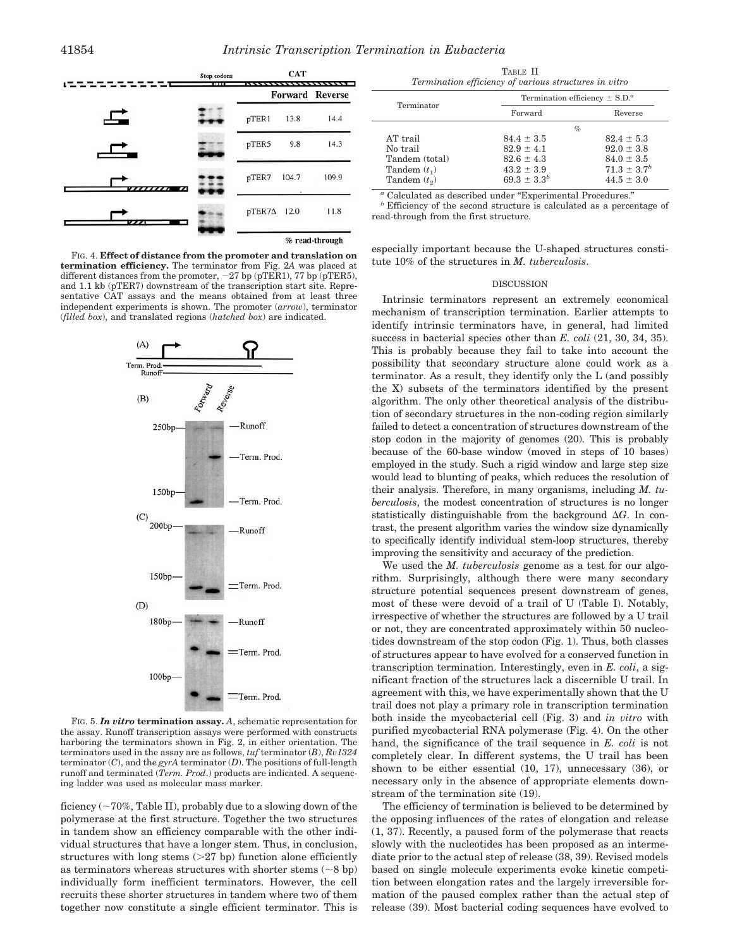

FIG. 4. **Effect of distance from the promoter and translation on termination efficiency.** The terminator from Fig. 2*A* was placed at different distances from the promoter,  $-27$  bp (pTER1), 77 bp (pTER5), and 1.1 kb (pTER7) downstream of the transcription start site. Representative CAT assays and the means obtained from at least three independent experiments is shown. The promoter (*arrow*), terminator (*filled box*), and translated regions (*hatched box*) are indicated.



FIG. 5. *In vitro* **termination assay.** *A*, schematic representation for the assay. Runoff transcription assays were performed with constructs harboring the terminators shown in Fig. 2, in either orientation. The terminators used in the assay are as follows, *tuf* terminator (*B*), *Rv1324* terminator (*C*), and the *gyrA* terminator (*D*). The positions of full-length runoff and terminated (*Term. Prod*.) products are indicated. A sequencing ladder was used as molecular mass marker.

ficiency  $(\sim 70\%$ , Table II), probably due to a slowing down of the polymerase at the first structure. Together the two structures in tandem show an efficiency comparable with the other individual structures that have a longer stem. Thus, in conclusion, structures with long stems  $(27$  bp) function alone efficiently as terminators whereas structures with shorter stems  $( \sim 8 \text{ ho})$ individually form inefficient terminators. However, the cell recruits these shorter structures in tandem where two of them together now constitute a single efficient terminator. This is

TABLE II *Termination efficiency of various structures in vitro*

|                | Termination efficiency $\pm$ S.D. <sup><i>a</i></sup> |                  |  |  |
|----------------|-------------------------------------------------------|------------------|--|--|
| Terminator     | Forward                                               | Reverse          |  |  |
|                |                                                       | $\%$             |  |  |
| AT trail       | $84.4 \pm 3.5$                                        | $82.4 \pm 5.3$   |  |  |
| No trail       | $82.9 \pm 4.1$                                        | $92.0 \pm 3.8$   |  |  |
| Tandem (total) | $82.6 \pm 4.3$                                        | $84.0 \pm 3.5$   |  |  |
| Tandem $(t_1)$ | $43.2 \pm 3.9$                                        | $71.3 \pm 3.7^b$ |  |  |
| Tandem $(t_2)$ | $69.3 \pm 3.3^{b}$                                    | $44.5 \pm 3.0$   |  |  |

 $^a$  Calculated as described under "Experimental Procedures."  $^b$  Efficiency of the second structure is calculated as a percentage of read-through from the first structure.

especially important because the U-shaped structures constitute 10% of the structures in *M. tuberculosis*.

#### **DISCUSSION**

Intrinsic terminators represent an extremely economical mechanism of transcription termination. Earlier attempts to identify intrinsic terminators have, in general, had limited success in bacterial species other than *E. coli* (21, 30, 34, 35). This is probably because they fail to take into account the possibility that secondary structure alone could work as a terminator. As a result, they identify only the L (and possibly the X) subsets of the terminators identified by the present algorithm. The only other theoretical analysis of the distribution of secondary structures in the non-coding region similarly failed to detect a concentration of structures downstream of the stop codon in the majority of genomes (20). This is probably because of the 60-base window (moved in steps of 10 bases) employed in the study. Such a rigid window and large step size would lead to blunting of peaks, which reduces the resolution of their analysis. Therefore, in many organisms, including *M. tuberculosis*, the modest concentration of structures is no longer statistically distinguishable from the background  $\Delta G$ . In contrast, the present algorithm varies the window size dynamically to specifically identify individual stem-loop structures, thereby improving the sensitivity and accuracy of the prediction.

We used the *M. tuberculosis* genome as a test for our algorithm. Surprisingly, although there were many secondary structure potential sequences present downstream of genes, most of these were devoid of a trail of U (Table I). Notably, irrespective of whether the structures are followed by a U trail or not, they are concentrated approximately within 50 nucleotides downstream of the stop codon (Fig. 1). Thus, both classes of structures appear to have evolved for a conserved function in transcription termination. Interestingly, even in *E. coli*, a significant fraction of the structures lack a discernible U trail. In agreement with this, we have experimentally shown that the U trail does not play a primary role in transcription termination both inside the mycobacterial cell (Fig. 3) and *in vitro* with purified mycobacterial RNA polymerase (Fig. 4). On the other hand, the significance of the trail sequence in *E. coli* is not completely clear. In different systems, the U trail has been shown to be either essential (10, 17), unnecessary (36), or necessary only in the absence of appropriate elements downstream of the termination site (19).

The efficiency of termination is believed to be determined by the opposing influences of the rates of elongation and release (1, 37). Recently, a paused form of the polymerase that reacts slowly with the nucleotides has been proposed as an intermediate prior to the actual step of release (38, 39). Revised models based on single molecule experiments evoke kinetic competition between elongation rates and the largely irreversible formation of the paused complex rather than the actual step of release (39). Most bacterial coding sequences have evolved to